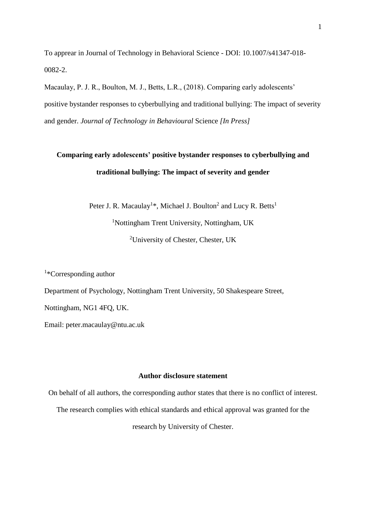To apprear in Journal of Technology in Behavioral Science - DOI: 10.1007/s41347-018- 0082-2.

Macaulay, P. J. R., Boulton, M. J., Betts, L.R., (2018). Comparing early adolescents' positive bystander responses to cyberbullying and traditional bullying: The impact of severity and gender. *Journal of Technology in Behavioural* Science *[In Press]* 

# **Comparing early adolescents' positive bystander responses to cyberbullying and traditional bullying: The impact of severity and gender**

Peter J. R. Macaulay<sup>1\*</sup>, Michael J. Boulton<sup>2</sup> and Lucy R. Betts<sup>1</sup> <sup>1</sup>Nottingham Trent University, Nottingham, UK <sup>2</sup>University of Chester, Chester, UK

<sup>1</sup>\*Corresponding author

Department of Psychology, Nottingham Trent University, 50 Shakespeare Street,

Nottingham, NG1 4FQ, UK.

Email: peter.macaulay@ntu.ac.uk

# **Author disclosure statement**

On behalf of all authors, the corresponding author states that there is no conflict of interest. The research complies with ethical standards and ethical approval was granted for the research by University of Chester.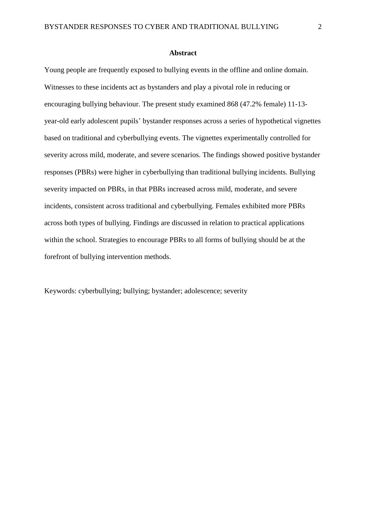#### **Abstract**

Young people are frequently exposed to bullying events in the offline and online domain. Witnesses to these incidents act as bystanders and play a pivotal role in reducing or encouraging bullying behaviour. The present study examined 868 (47.2% female) 11-13 year-old early adolescent pupils' bystander responses across a series of hypothetical vignettes based on traditional and cyberbullying events. The vignettes experimentally controlled for severity across mild, moderate, and severe scenarios. The findings showed positive bystander responses (PBRs) were higher in cyberbullying than traditional bullying incidents. Bullying severity impacted on PBRs, in that PBRs increased across mild, moderate, and severe incidents, consistent across traditional and cyberbullying. Females exhibited more PBRs across both types of bullying. Findings are discussed in relation to practical applications within the school. Strategies to encourage PBRs to all forms of bullying should be at the forefront of bullying intervention methods.

Keywords: cyberbullying; bullying; bystander; adolescence; severity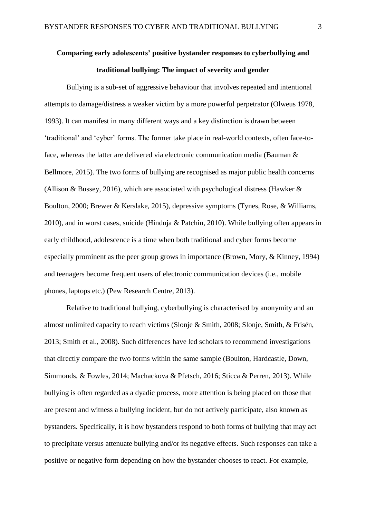# **Comparing early adolescents' positive bystander responses to cyberbullying and traditional bullying: The impact of severity and gender**

Bullying is a sub-set of aggressive behaviour that involves repeated and intentional attempts to damage/distress a weaker victim by a more powerful perpetrator (Olweus 1978, 1993). It can manifest in many different ways and a key distinction is drawn between 'traditional' and 'cyber' forms. The former take place in real-world contexts, often face-toface, whereas the latter are delivered via electronic communication media (Bauman & Bellmore, 2015). The two forms of bullying are recognised as major public health concerns (Allison & Bussey, 2016), which are associated with psychological distress (Hawker & Boulton, 2000; Brewer & Kerslake, 2015), depressive symptoms (Tynes, Rose, & Williams, 2010), and in worst cases, suicide (Hinduja & Patchin, 2010). While bullying often appears in early childhood, adolescence is a time when both traditional and cyber forms become especially prominent as the peer group grows in importance (Brown, Mory, & Kinney, 1994) and teenagers become frequent users of electronic communication devices (i.e., mobile phones, laptops etc.) (Pew Research Centre, 2013).

Relative to traditional bullying, cyberbullying is characterised by anonymity and an almost unlimited capacity to reach victims (Slonje & Smith, 2008; Slonje, Smith, & Frisén, 2013; Smith et al., 2008). Such differences have led scholars to recommend investigations that directly compare the two forms within the same sample (Boulton, Hardcastle, Down, Simmonds, & Fowles, 2014; Machackova & Pfetsch, 2016; Sticca & Perren, 2013). While bullying is often regarded as a dyadic process, more attention is being placed on those that are present and witness a bullying incident, but do not actively participate, also known as bystanders. Specifically, it is how bystanders respond to both forms of bullying that may act to precipitate versus attenuate bullying and/or its negative effects. Such responses can take a positive or negative form depending on how the bystander chooses to react. For example,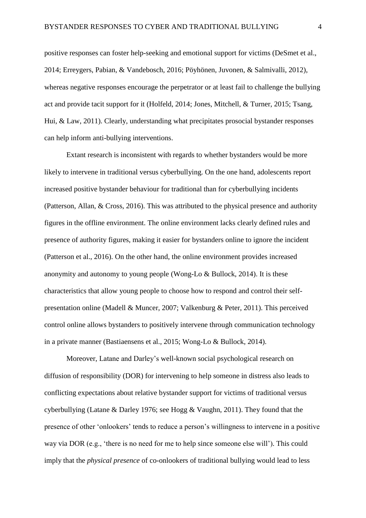positive responses can foster help-seeking and emotional support for victims (DeSmet et al., 2014; Erreygers, Pabian, & Vandebosch, 2016; Pöyhönen, Juvonen, & Salmivalli, 2012), whereas negative responses encourage the perpetrator or at least fail to challenge the bullying act and provide tacit support for it (Holfeld, 2014; Jones, Mitchell, & Turner, 2015; Tsang, Hui, & Law, 2011). Clearly, understanding what precipitates prosocial bystander responses can help inform anti-bullying interventions.

Extant research is inconsistent with regards to whether bystanders would be more likely to intervene in traditional versus cyberbullying. On the one hand, adolescents report increased positive bystander behaviour for traditional than for cyberbullying incidents (Patterson, Allan, & Cross, 2016). This was attributed to the physical presence and authority figures in the offline environment. The online environment lacks clearly defined rules and presence of authority figures, making it easier for bystanders online to ignore the incident (Patterson et al., 2016). On the other hand, the online environment provides increased anonymity and autonomy to young people (Wong-Lo & Bullock, 2014). It is these characteristics that allow young people to choose how to respond and control their selfpresentation online (Madell & Muncer, 2007; Valkenburg & Peter, 2011). This perceived control online allows bystanders to positively intervene through communication technology in a private manner (Bastiaensens et al., 2015; Wong-Lo & Bullock, 2014).

Moreover, Latane and Darley's well-known social psychological research on diffusion of responsibility (DOR) for intervening to help someone in distress also leads to conflicting expectations about relative bystander support for victims of traditional versus cyberbullying (Latane & Darley 1976; see Hogg & Vaughn, 2011). They found that the presence of other 'onlookers' tends to reduce a person's willingness to intervene in a positive way via DOR (e.g., 'there is no need for me to help since someone else will'). This could imply that the *physical presence* of co-onlookers of traditional bullying would lead to less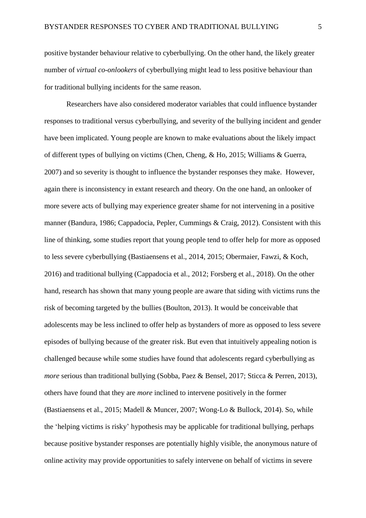positive bystander behaviour relative to cyberbullying. On the other hand, the likely greater number of *virtual co-onlookers* of cyberbullying might lead to less positive behaviour than for traditional bullying incidents for the same reason.

Researchers have also considered moderator variables that could influence bystander responses to traditional versus cyberbullying, and severity of the bullying incident and gender have been implicated. Young people are known to make evaluations about the likely impact of different types of bullying on victims (Chen, Cheng, & Ho, 2015; Williams & Guerra, 2007) and so severity is thought to influence the bystander responses they make. However, again there is inconsistency in extant research and theory. On the one hand, an onlooker of more severe acts of bullying may experience greater shame for not intervening in a positive manner (Bandura, 1986; Cappadocia, Pepler, Cummings & Craig, 2012). Consistent with this line of thinking, some studies report that young people tend to offer help for more as opposed to less severe cyberbullying (Bastiaensens et al., 2014, 2015; Obermaier, Fawzi, & Koch, 2016) and traditional bullying (Cappadocia et al., 2012; Forsberg et al., 2018). On the other hand, research has shown that many young people are aware that siding with victims runs the risk of becoming targeted by the bullies (Boulton, 2013). It would be conceivable that adolescents may be less inclined to offer help as bystanders of more as opposed to less severe episodes of bullying because of the greater risk. But even that intuitively appealing notion is challenged because while some studies have found that adolescents regard cyberbullying as *more* serious than traditional bullying (Sobba, Paez & Bensel, 2017; Sticca & Perren, 2013), others have found that they are *more* inclined to intervene positively in the former (Bastiaensens et al., 2015; Madell & Muncer, 2007; Wong-Lo & Bullock, 2014). So, while the 'helping victims is risky' hypothesis may be applicable for traditional bullying, perhaps because positive bystander responses are potentially highly visible, the anonymous nature of online activity may provide opportunities to safely intervene on behalf of victims in severe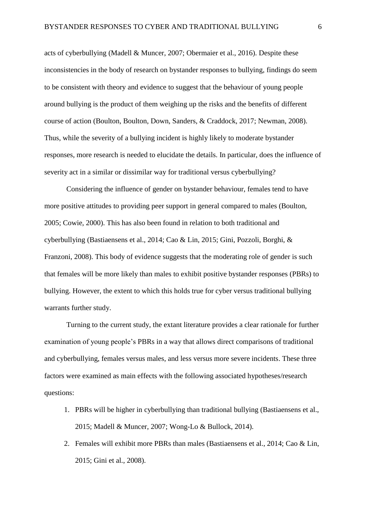acts of cyberbullying (Madell & Muncer, 2007; Obermaier et al., 2016). Despite these inconsistencies in the body of research on bystander responses to bullying, findings do seem to be consistent with theory and evidence to suggest that the behaviour of young people around bullying is the product of them weighing up the risks and the benefits of different course of action (Boulton, Boulton, Down, Sanders, & Craddock, 2017; Newman, 2008). Thus, while the severity of a bullying incident is highly likely to moderate bystander responses, more research is needed to elucidate the details. In particular, does the influence of severity act in a similar or dissimilar way for traditional versus cyberbullying?

Considering the influence of gender on bystander behaviour, females tend to have more positive attitudes to providing peer support in general compared to males (Boulton, 2005; Cowie, 2000). This has also been found in relation to both traditional and cyberbullying (Bastiaensens et al., 2014; Cao & Lin, 2015; Gini, Pozzoli, Borghi, & Franzoni, 2008). This body of evidence suggests that the moderating role of gender is such that females will be more likely than males to exhibit positive bystander responses (PBRs) to bullying. However, the extent to which this holds true for cyber versus traditional bullying warrants further study.

Turning to the current study, the extant literature provides a clear rationale for further examination of young people's PBRs in a way that allows direct comparisons of traditional and cyberbullying, females versus males, and less versus more severe incidents. These three factors were examined as main effects with the following associated hypotheses/research questions:

- 1. PBRs will be higher in cyberbullying than traditional bullying (Bastiaensens et al., 2015; Madell & Muncer, 2007; Wong-Lo & Bullock, 2014).
- 2. Females will exhibit more PBRs than males (Bastiaensens et al., 2014; Cao & Lin, 2015; Gini et al., 2008).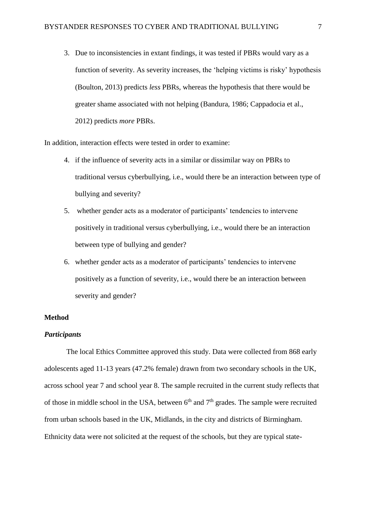3. Due to inconsistencies in extant findings, it was tested if PBRs would vary as a function of severity. As severity increases, the 'helping victims is risky' hypothesis (Boulton, 2013) predicts *less* PBRs, whereas the hypothesis that there would be greater shame associated with not helping (Bandura, 1986; Cappadocia et al., 2012) predicts *more* PBRs.

In addition, interaction effects were tested in order to examine:

- 4. if the influence of severity acts in a similar or dissimilar way on PBRs to traditional versus cyberbullying, i.e., would there be an interaction between type of bullying and severity?
- 5. whether gender acts as a moderator of participants' tendencies to intervene positively in traditional versus cyberbullying, i.e., would there be an interaction between type of bullying and gender?
- 6. whether gender acts as a moderator of participants' tendencies to intervene positively as a function of severity, i.e., would there be an interaction between severity and gender?

### **Method**

#### *Participants*

The local Ethics Committee approved this study. Data were collected from 868 early adolescents aged 11-13 years (47.2% female) drawn from two secondary schools in the UK, across school year 7 and school year 8. The sample recruited in the current study reflects that of those in middle school in the USA, between  $6<sup>th</sup>$  and  $7<sup>th</sup>$  grades. The sample were recruited from urban schools based in the UK, Midlands, in the city and districts of Birmingham. Ethnicity data were not solicited at the request of the schools, but they are typical state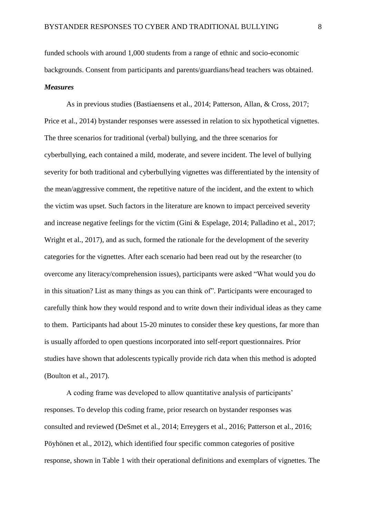funded schools with around 1,000 students from a range of ethnic and socio-economic backgrounds. Consent from participants and parents/guardians/head teachers was obtained. *Measures*

As in previous studies (Bastiaensens et al., 2014; Patterson, Allan, & Cross, 2017; Price et al., 2014) bystander responses were assessed in relation to six hypothetical vignettes. The three scenarios for traditional (verbal) bullying, and the three scenarios for cyberbullying, each contained a mild, moderate, and severe incident. The level of bullying severity for both traditional and cyberbullying vignettes was differentiated by the intensity of the mean/aggressive comment, the repetitive nature of the incident, and the extent to which the victim was upset. Such factors in the literature are known to impact perceived severity and increase negative feelings for the victim (Gini & Espelage, 2014; Palladino et al., 2017; Wright et al., 2017), and as such, formed the rationale for the development of the severity categories for the vignettes. After each scenario had been read out by the researcher (to overcome any literacy/comprehension issues), participants were asked "What would you do in this situation? List as many things as you can think of". Participants were encouraged to carefully think how they would respond and to write down their individual ideas as they came to them. Participants had about 15-20 minutes to consider these key questions, far more than is usually afforded to open questions incorporated into self-report questionnaires. Prior studies have shown that adolescents typically provide rich data when this method is adopted (Boulton et al., 2017).

A coding frame was developed to allow quantitative analysis of participants' responses. To develop this coding frame, prior research on bystander responses was consulted and reviewed (DeSmet et al., 2014; Erreygers et al., 2016; Patterson et al., 2016; Pöyhönen et al., 2012), which identified four specific common categories of positive response, shown in Table 1 with their operational definitions and exemplars of vignettes. The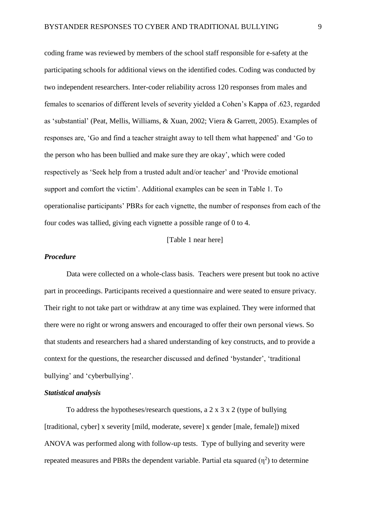coding frame was reviewed by members of the school staff responsible for e-safety at the participating schools for additional views on the identified codes. Coding was conducted by two independent researchers. Inter-coder reliability across 120 responses from males and females to scenarios of different levels of severity yielded a Cohen's Kappa of .623, regarded as 'substantial' (Peat, Mellis, Williams, & Xuan, 2002; Viera & Garrett, 2005). Examples of responses are, 'Go and find a teacher straight away to tell them what happened' and 'Go to the person who has been bullied and make sure they are okay', which were coded respectively as 'Seek help from a trusted adult and/or teacher' and 'Provide emotional support and comfort the victim'. Additional examples can be seen in Table 1. To operationalise participants' PBRs for each vignette, the number of responses from each of the four codes was tallied, giving each vignette a possible range of 0 to 4.

### [Table 1 near here]

#### *Procedure*

Data were collected on a whole-class basis. Teachers were present but took no active part in proceedings. Participants received a questionnaire and were seated to ensure privacy. Their right to not take part or withdraw at any time was explained. They were informed that there were no right or wrong answers and encouraged to offer their own personal views. So that students and researchers had a shared understanding of key constructs, and to provide a context for the questions, the researcher discussed and defined 'bystander', 'traditional bullying' and 'cyberbullying'.

#### *Statistical analysis*

To address the hypotheses/research questions, a 2 x 3 x 2 (type of bullying [traditional, cyber] x severity [mild, moderate, severe] x gender [male, female]) mixed ANOVA was performed along with follow-up tests. Type of bullying and severity were repeated measures and PBRs the dependent variable. Partial eta squared  $(\eta^2)$  to determine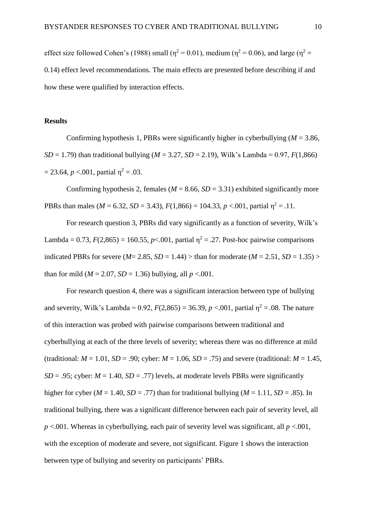effect size followed Cohen's (1988) small ( $\eta^2 = 0.01$ ), medium ( $\eta^2 = 0.06$ ), and large ( $\eta^2 =$ 0.14) effect level recommendations. The main effects are presented before describing if and how these were qualified by interaction effects.

## **Results**

Confirming hypothesis 1, PBRs were significantly higher in cyberbullying  $(M = 3.86$ , *SD* = 1.79) than traditional bullying ( $M = 3.27$ , *SD* = 2.19), Wilk's Lambda = 0.97, *F*(1,866)  $= 23.64, p < 0.001$ , partial  $\eta^2 = .03$ .

Confirming hypothesis 2, females ( $M = 8.66$ ,  $SD = 3.31$ ) exhibited significantly more PBRs than males ( $M = 6.32$ ,  $SD = 3.43$ ),  $F(1,866) = 104.33$ ,  $p < 0.01$ , partial  $\eta^2 = 0.11$ .

For research question 3, PBRs did vary significantly as a function of severity, Wilk's Lambda = 0.73,  $F(2,865) = 160.55$ ,  $p<0.01$ , partial  $\eta^2 = 0.27$ . Post-hoc pairwise comparisons indicated PBRs for severe ( $M = 2.85$ ,  $SD = 1.44$ ) > than for moderate ( $M = 2.51$ ,  $SD = 1.35$ ) > than for mild ( $M = 2.07$ ,  $SD = 1.36$ ) bullying, all  $p < .001$ .

For research question 4, there was a significant interaction between type of bullying and severity, Wilk's Lambda =  $0.92$ ,  $F(2,865) = 36.39$ ,  $p < .001$ , partial  $\eta^2 = .08$ . The nature of this interaction was probed with pairwise comparisons between traditional and cyberbullying at each of the three levels of severity; whereas there was no difference at mild (traditional:  $M = 1.01$ ,  $SD = .90$ ; cyber:  $M = 1.06$ ,  $SD = .75$ ) and severe (traditional:  $M = 1.45$ , *SD* = .95; cyber:  $M = 1.40$ ,  $SD = .77$ ) levels, at moderate levels PBRs were significantly higher for cyber ( $M = 1.40$ ,  $SD = .77$ ) than for traditional bullying ( $M = 1.11$ ,  $SD = .85$ ). In traditional bullying, there was a significant difference between each pair of severity level, all *p* <.001. Whereas in cyberbullying, each pair of severity level was significant, all *p* <.001, with the exception of moderate and severe, not significant. Figure 1 shows the interaction between type of bullying and severity on participants' PBRs.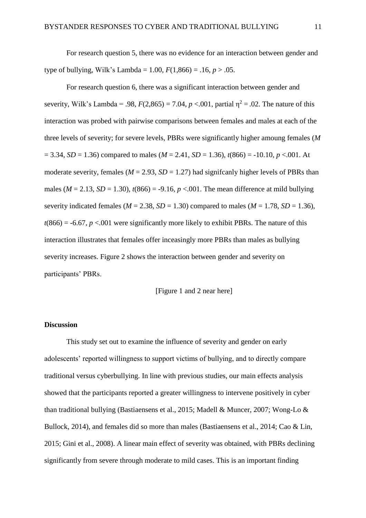For research question 5, there was no evidence for an interaction between gender and type of bullying, Wilk's Lambda = 1.00,  $F(1,866) = .16, p > .05$ .

For research question 6, there was a significant interaction between gender and severity, Wilk's Lambda = .98,  $F(2,865) = 7.04$ ,  $p < .001$ , partial  $\eta^2 = .02$ . The nature of this interaction was probed with pairwise comparisons between females and males at each of the three levels of severity; for severe levels, PBRs were significantly higher amoung females (*M*   $= 3.34$ , *SD* = 1.36) compared to males (*M* = 2.41, *SD* = 1.36),  $t(866) = -10.10$ ,  $p < 0.001$ . At moderate severity, females ( $M = 2.93$ ,  $SD = 1.27$ ) had significanly higher levels of PBRs than males ( $M = 2.13$ ,  $SD = 1.30$ ),  $t(866) = -9.16$ ,  $p < .001$ . The mean difference at mild bullying severity indicated females ( $M = 2.38$ ,  $SD = 1.30$ ) compared to males ( $M = 1.78$ ,  $SD = 1.36$ ),  $t(866) = -6.67$ ,  $p < 0.01$  were significantly more likely to exhibit PBRs. The nature of this interaction illustrates that females offer inceasingly more PBRs than males as bullying severity increases. Figure 2 shows the interaction between gender and severity on participants' PBRs.

[Figure 1 and 2 near here]

#### **Discussion**

This study set out to examine the influence of severity and gender on early adolescents' reported willingness to support victims of bullying, and to directly compare traditional versus cyberbullying. In line with previous studies, our main effects analysis showed that the participants reported a greater willingness to intervene positively in cyber than traditional bullying (Bastiaensens et al., 2015; Madell & Muncer, 2007; Wong-Lo & Bullock, 2014), and females did so more than males (Bastiaensens et al., 2014; Cao & Lin, 2015; Gini et al., 2008). A linear main effect of severity was obtained, with PBRs declining significantly from severe through moderate to mild cases. This is an important finding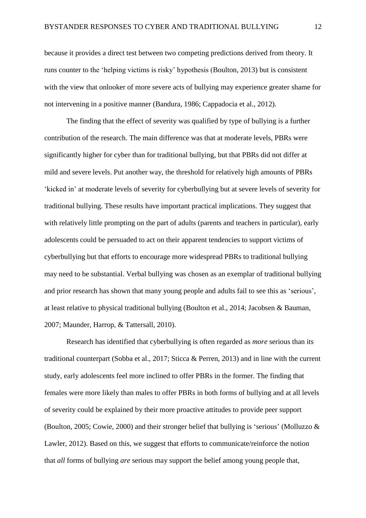because it provides a direct test between two competing predictions derived from theory. It runs counter to the 'helping victims is risky' hypothesis (Boulton, 2013) but is consistent with the view that onlooker of more severe acts of bullying may experience greater shame for not intervening in a positive manner (Bandura, 1986; Cappadocia et al., 2012).

The finding that the effect of severity was qualified by type of bullying is a further contribution of the research. The main difference was that at moderate levels, PBRs were significantly higher for cyber than for traditional bullying, but that PBRs did not differ at mild and severe levels. Put another way, the threshold for relatively high amounts of PBRs 'kicked in' at moderate levels of severity for cyberbullying but at severe levels of severity for traditional bullying. These results have important practical implications. They suggest that with relatively little prompting on the part of adults (parents and teachers in particular), early adolescents could be persuaded to act on their apparent tendencies to support victims of cyberbullying but that efforts to encourage more widespread PBRs to traditional bullying may need to be substantial. Verbal bullying was chosen as an exemplar of traditional bullying and prior research has shown that many young people and adults fail to see this as 'serious', at least relative to physical traditional bullying (Boulton et al., 2014; Jacobsen & Bauman, 2007; Maunder, Harrop, & Tattersall, 2010).

Research has identified that cyberbullying is often regarded as *more* serious than its traditional counterpart (Sobba et al., 2017; Sticca & Perren, 2013) and in line with the current study, early adolescents feel more inclined to offer PBRs in the former. The finding that females were more likely than males to offer PBRs in both forms of bullying and at all levels of severity could be explained by their more proactive attitudes to provide peer support (Boulton, 2005; Cowie, 2000) and their stronger belief that bullying is 'serious' (Molluzzo & Lawler, 2012). Based on this, we suggest that efforts to communicate/reinforce the notion that *all* forms of bullying *are* serious may support the belief among young people that,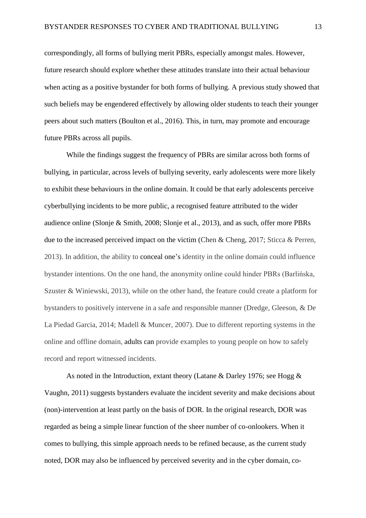correspondingly, all forms of bullying merit PBRs, especially amongst males. However, future research should explore whether these attitudes translate into their actual behaviour when acting as a positive bystander for both forms of bullying. A previous study showed that such beliefs may be engendered effectively by allowing older students to teach their younger peers about such matters (Boulton et al., 2016). This, in turn, may promote and encourage future PBRs across all pupils.

While the findings suggest the frequency of PBRs are similar across both forms of bullying, in particular, across levels of bullying severity, early adolescents were more likely to exhibit these behaviours in the online domain. It could be that early adolescents perceive cyberbullying incidents to be more public, a recognised feature attributed to the wider audience online (Slonje & Smith, 2008; Slonje et al., 2013), and as such, offer more PBRs due to the increased perceived impact on the victim (Chen & Cheng, 2017; Sticca & Perren, 2013). In addition, the ability to conceal one's identity in the online domain could influence bystander intentions. On the one hand, the anonymity online could hinder PBRs (Barlińska, Szuster & Winiewski, 2013), while on the other hand, the feature could create a platform for bystanders to positively intervene in a safe and responsible manner (Dredge, Gleeson, & De La Piedad Garcia, 2014; Madell & Muncer, 2007). Due to different reporting systems in the online and offline domain, adults can provide examples to young people on how to safely record and report witnessed incidents.

As noted in the Introduction, extant theory (Latane & Darley 1976; see Hogg & Vaughn, 2011) suggests bystanders evaluate the incident severity and make decisions about (non)-intervention at least partly on the basis of DOR. In the original research, DOR was regarded as being a simple linear function of the sheer number of co-onlookers. When it comes to bullying, this simple approach needs to be refined because, as the current study noted, DOR may also be influenced by perceived severity and in the cyber domain, co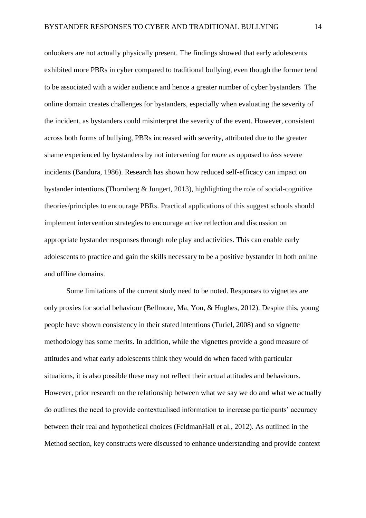onlookers are not actually physically present. The findings showed that early adolescents exhibited more PBRs in cyber compared to traditional bullying, even though the former tend to be associated with a wider audience and hence a greater number of cyber bystanders The online domain creates challenges for bystanders, especially when evaluating the severity of the incident, as bystanders could misinterpret the severity of the event. However, consistent across both forms of bullying, PBRs increased with severity, attributed due to the greater shame experienced by bystanders by not intervening for *more* as opposed to *less* severe incidents (Bandura, 1986). Research has shown how reduced self-efficacy can impact on bystander intentions (Thornberg & Jungert, 2013), highlighting the role of social-cognitive theories/principles to encourage PBRs. Practical applications of this suggest schools should implement intervention strategies to encourage active reflection and discussion on appropriate bystander responses through role play and activities. This can enable early adolescents to practice and gain the skills necessary to be a positive bystander in both online and offline domains.

Some limitations of the current study need to be noted. Responses to vignettes are only proxies for social behaviour (Bellmore, Ma, You, & Hughes, 2012). Despite this, young people have shown consistency in their stated intentions (Turiel, 2008) and so vignette methodology has some merits. In addition, while the vignettes provide a good measure of attitudes and what early adolescents think they would do when faced with particular situations, it is also possible these may not reflect their actual attitudes and behaviours. However, prior research on the relationship between what we say we do and what we actually do outlines the need to provide contextualised information to increase participants' accuracy between their real and hypothetical choices (FeldmanHall et al., 2012). As outlined in the Method section, key constructs were discussed to enhance understanding and provide context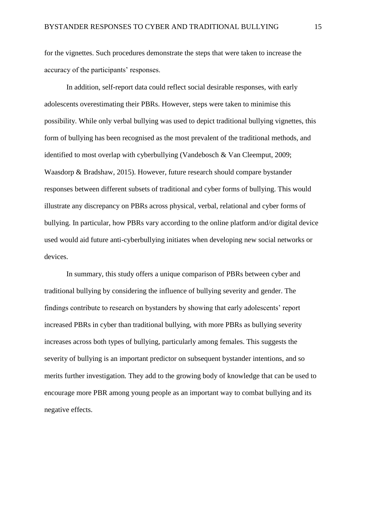for the vignettes. Such procedures demonstrate the steps that were taken to increase the accuracy of the participants' responses.

In addition, self-report data could reflect social desirable responses, with early adolescents overestimating their PBRs. However, steps were taken to minimise this possibility. While only verbal bullying was used to depict traditional bullying vignettes, this form of bullying has been recognised as the most prevalent of the traditional methods, and identified to most overlap with cyberbullying (Vandebosch & Van Cleemput, 2009; Waasdorp & Bradshaw, 2015). However, future research should compare bystander responses between different subsets of traditional and cyber forms of bullying. This would illustrate any discrepancy on PBRs across physical, verbal, relational and cyber forms of bullying. In particular, how PBRs vary according to the online platform and/or digital device used would aid future anti-cyberbullying initiates when developing new social networks or devices.

In summary, this study offers a unique comparison of PBRs between cyber and traditional bullying by considering the influence of bullying severity and gender. The findings contribute to research on bystanders by showing that early adolescents' report increased PBRs in cyber than traditional bullying, with more PBRs as bullying severity increases across both types of bullying, particularly among females. This suggests the severity of bullying is an important predictor on subsequent bystander intentions, and so merits further investigation*.* They add to the growing body of knowledge that can be used to encourage more PBR among young people as an important way to combat bullying and its negative effects.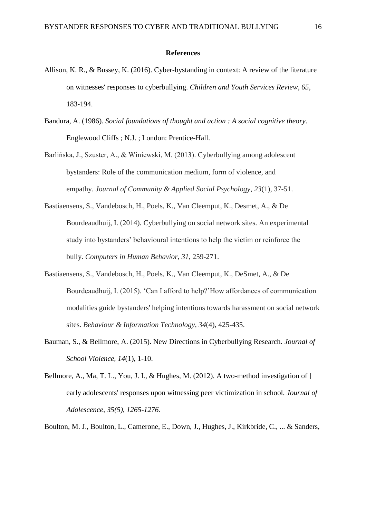#### **References**

- Allison, K. R., & Bussey, K. (2016). Cyber-bystanding in context: A review of the literature on witnesses' responses to cyberbullying. *Children and Youth Services Review*, *65*, 183-194.
- Bandura, A. (1986). *Social foundations of thought and action : A social cognitive theory*. Englewood Cliffs ; N.J. ; London: Prentice-Hall.
- Barlińska, J., Szuster, A., & Winiewski, M. (2013). Cyberbullying among adolescent bystanders: Role of the communication medium, form of violence, and empathy. *Journal of Community & Applied Social Psychology*, *23*(1), 37-51.
- Bastiaensens, S., Vandebosch, H., Poels, K., Van Cleemput, K., Desmet, A., & De Bourdeaudhuij, I. (2014). Cyberbullying on social network sites. An experimental study into bystanders' behavioural intentions to help the victim or reinforce the bully. *Computers in Human Behavior*, *31*, 259-271.
- Bastiaensens, S., Vandebosch, H., Poels, K., Van Cleemput, K., DeSmet, A., & De Bourdeaudhuij, I. (2015). 'Can I afford to help?'How affordances of communication modalities guide bystanders' helping intentions towards harassment on social network sites. *Behaviour & Information Technology*, *34*(4), 425-435.
- Bauman, S., & Bellmore, A. (2015). New Directions in Cyberbullying Research. *Journal of School Violence, 14*(1), 1-10.
- Bellmore, A., Ma, T. L., You, J. I., & Hughes, M. (2012). A two-method investigation of ] early adolescents' responses upon witnessing peer victimization in school*. Journal of Adolescence, 35(5), 1265-1276.*

Boulton, M. J., Boulton, L., Camerone, E., Down, J., Hughes, J., Kirkbride, C., ... & Sanders,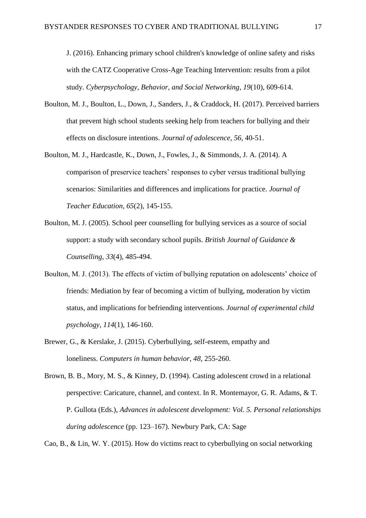J. (2016). Enhancing primary school children's knowledge of online safety and risks with the CATZ Cooperative Cross-Age Teaching Intervention: results from a pilot study. *Cyberpsychology, Behavior, and Social Networking*, *19*(10), 609-614.

- Boulton, M. J., Boulton, L., Down, J., Sanders, J., & Craddock, H. (2017). Perceived barriers that prevent high school students seeking help from teachers for bullying and their effects on disclosure intentions. *Journal of adolescence*, *56*, 40-51.
- Boulton, M. J., Hardcastle, K., Down, J., Fowles, J., & Simmonds, J. A. (2014). A comparison of preservice teachers' responses to cyber versus traditional bullying scenarios: Similarities and differences and implications for practice. *Journal of Teacher Education*, *65*(2), 145-155.
- Boulton, M. J. (2005). School peer counselling for bullying services as a source of social support: a study with secondary school pupils. *British Journal of Guidance & Counselling*, *33*(4), 485-494.
- Boulton, M. J. (2013). The effects of victim of bullying reputation on adolescents' choice of friends: Mediation by fear of becoming a victim of bullying, moderation by victim status, and implications for befriending interventions. *Journal of experimental child psychology*, *114*(1), 146-160.
- Brewer, G., & Kerslake, J. (2015). Cyberbullying, self-esteem, empathy and loneliness. *Computers in human behavior*, *48*, 255-260.
- Brown, B. B., Mory, M. S., & Kinney, D. (1994). Casting adolescent crowd in a relational perspective: Caricature, channel, and context. In R. Montemayor, G. R. Adams, & T. P. Gullota (Eds.), *Advances in adolescent development: Vol. 5. Personal relationships during adolescence* (pp. 123–167). Newbury Park, CA: Sage

Cao, B., & Lin, W. Y. (2015). How do victims react to cyberbullying on social networking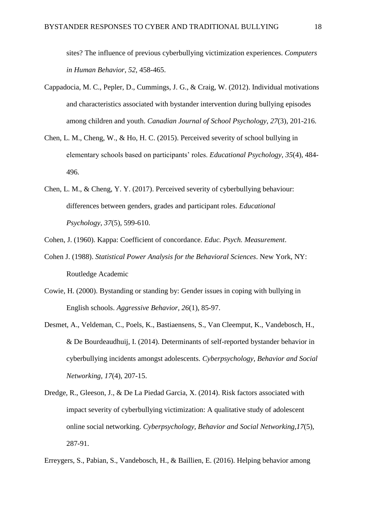sites? The influence of previous cyberbullying victimization experiences. *Computers in Human Behavior*, *52*, 458-465.

- Cappadocia, M. C., Pepler, D., Cummings, J. G., & Craig, W. (2012). Individual motivations and characteristics associated with bystander intervention during bullying episodes among children and youth. *Canadian Journal of School Psychology*, *27*(3), 201-216.
- Chen, L. M., Cheng, W., & Ho, H. C. (2015). Perceived severity of school bullying in elementary schools based on participants' roles. *Educational Psychology*, *35*(4), 484- 496.
- Chen, L. M., & Cheng, Y. Y. (2017). Perceived severity of cyberbullying behaviour: differences between genders, grades and participant roles. *Educational Psychology*, *37*(5), 599-610.
- Cohen, J. (1960). Kappa: Coefficient of concordance. *Educ. Psych. Measurement*.
- Cohen J. (1988). *Statistical Power Analysis for the Behavioral Sciences*. New York, NY: Routledge Academic
- Cowie, H. (2000). Bystanding or standing by: Gender issues in coping with bullying in English schools. *Aggressive Behavior, 26*(1), 85-97.
- Desmet, A., Veldeman, C., Poels, K., Bastiaensens, S., Van Cleemput, K., Vandebosch, H., & De Bourdeaudhuij, I. (2014). Determinants of self-reported bystander behavior in cyberbullying incidents amongst adolescents. *Cyberpsychology, Behavior and Social Networking, 17*(4), 207-15.
- Dredge, R., Gleeson, J., & De La Piedad Garcia, X. (2014). Risk factors associated with impact severity of cyberbullying victimization: A qualitative study of adolescent online social networking. *Cyberpsychology, Behavior and Social Networking,17*(5), 287-91.
- Erreygers, S., Pabian, S., Vandebosch, H., & Baillien, E. (2016). Helping behavior among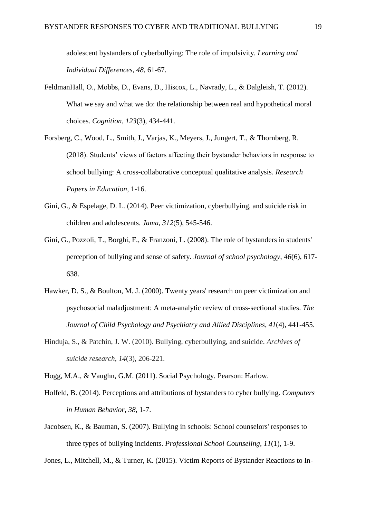adolescent bystanders of cyberbullying: The role of impulsivity. *Learning and Individual Differences*, *48*, 61-67.

- FeldmanHall, O., Mobbs, D., Evans, D., Hiscox, L., Navrady, L., & Dalgleish, T. (2012). What we say and what we do: the relationship between real and hypothetical moral choices. *Cognition*, *123*(3), 434-441.
- Forsberg, C., Wood, L., Smith, J., Varjas, K., Meyers, J., Jungert, T., & Thornberg, R. (2018). Students' views of factors affecting their bystander behaviors in response to school bullying: A cross-collaborative conceptual qualitative analysis. *Research Papers in Education,* 1-16.
- Gini, G., & Espelage, D. L. (2014). Peer victimization, cyberbullying, and suicide risk in children and adolescents. *Jama*, *312*(5), 545-546.
- Gini, G., Pozzoli, T., Borghi, F., & Franzoni, L. (2008). The role of bystanders in students' perception of bullying and sense of safety. *Journal of school psychology*, *46*(6), 617- 638.
- Hawker, D. S., & Boulton, M. J. (2000). Twenty years' research on peer victimization and psychosocial maladjustment: A meta-analytic review of cross-sectional studies. *The Journal of Child Psychology and Psychiatry and Allied Disciplines*, *41*(4), 441-455.
- Hinduja, S., & Patchin, J. W. (2010). Bullying, cyberbullying, and suicide. *Archives of suicide research*, *14*(3), 206-221.

Hogg, M.A., & Vaughn, G.M. (2011). Social Psychology. Pearson: Harlow.

- Holfeld, B. (2014). Perceptions and attributions of bystanders to cyber bullying. *Computers in Human Behavior, 38*, 1-7.
- Jacobsen, K., & Bauman, S. (2007). Bullying in schools: School counselors' responses to three types of bullying incidents. *Professional School Counseling*, *11*(1), 1-9.

Jones, L., Mitchell, M., & Turner, K. (2015). Victim Reports of Bystander Reactions to In-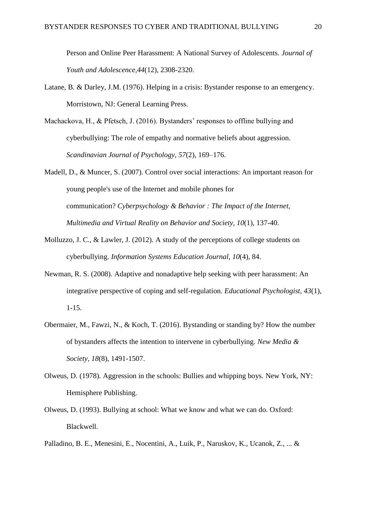Person and Online Peer Harassment: A National Survey of Adolescents. *Journal of Youth and Adolescence,44*(12), 2308-2320.

- Latane, B. & Darley, J.M. (1976). Helping in a crisis: Bystander response to an emergency. Morristown, NJ: General Learning Press.
- Machackova, H., & Pfetsch, J. (2016). Bystanders' responses to offline bullying and cyberbullying: The role of empathy and normative beliefs about aggression. *Scandinavian Journal of Psychology*, *57*(2), 169–176.
- Madell, D., & Muncer, S. (2007). Control over social interactions: An important reason for young people's use of the Internet and mobile phones for communication? *Cyberpsychology & Behavior : The Impact of the Internet, Multimedia and Virtual Reality on Behavior and Society, 10*(1), 137-40.
- Molluzzo, J. C., & Lawler, J. (2012). A study of the perceptions of college students on cyberbullying. *Information Systems Education Journal*, *10*(4), 84.
- Newman, R. S. (2008). Adaptive and nonadaptive help seeking with peer harassment: An integrative perspective of coping and self-regulation. *Educational Psychologist, 43*(1), 1-15.
- Obermaier, M., Fawzi, N., & Koch, T. (2016). Bystanding or standing by? How the number of bystanders affects the intention to intervene in cyberbullying. *New Media & Society, 18*(8), 1491-1507.
- Olweus, D. (1978). Aggression in the schools: Bullies and whipping boys. New York, NY: Hemisphere Publishing.
- Olweus, D. (1993). Bullying at school: What we know and what we can do. Oxford: Blackwell.
- Palladino, B. E., Menesini, E., Nocentini, A., Luik, P., Naruskov, K., Ucanok, Z., ... &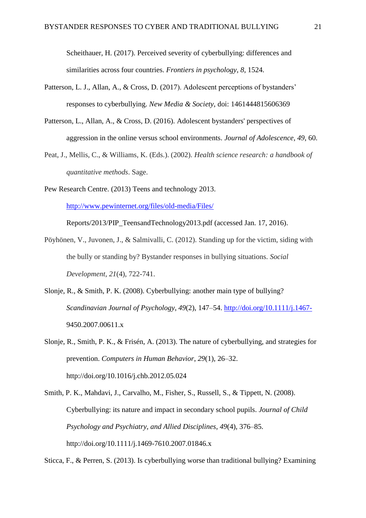Scheithauer, H. (2017). Perceived severity of cyberbullying: differences and similarities across four countries. *Frontiers in psychology*, *8*, 1524.

- Patterson, L. J., Allan, A., & Cross, D. (2017). Adolescent perceptions of bystanders' responses to cyberbullying. *New Media & Society*, doi: 1461444815606369
- Patterson, L., Allan, A., & Cross, D. (2016). Adolescent bystanders' perspectives of aggression in the online versus school environments. *Journal of Adolescence, 49*, 60.
- Peat, J., Mellis, C., & Williams, K. (Eds.). (2002). *Health science research: a handbook of quantitative methods*. Sage.
- Pew Research Centre. (2013) Teens and technology 2013.

<http://www.pewinternet.org/files/old-media/Files/>

Reports/2013/PIP\_TeensandTechnology2013.pdf (accessed Jan. 17, 2016).

- Pöyhönen, V., Juvonen, J., & Salmivalli, C. (2012). Standing up for the victim, siding with the bully or standing by? Bystander responses in bullying situations. *Social Development*, *21*(4), 722-741.
- Slonje, R., & Smith, P. K. (2008). Cyberbullying: another main type of bullying? *Scandinavian Journal of Psychology*, *49*(2), 147–54.<http://doi.org/10.1111/j.1467-> 9450.2007.00611.x

Slonje, R., Smith, P. K., & Frisén, A. (2013). The nature of cyberbullying, and strategies for prevention. *Computers in Human Behavior*, *29*(1), 26–32. http://doi.org/10.1016/j.chb.2012.05.024

Smith, P. K., Mahdavi, J., Carvalho, M., Fisher, S., Russell, S., & Tippett, N. (2008). Cyberbullying: its nature and impact in secondary school pupils. *Journal of Child Psychology and Psychiatry, and Allied Disciplines*, *49*(4), 376–85. http://doi.org/10.1111/j.1469-7610.2007.01846.x

Sticca, F., & Perren, S. (2013). Is cyberbullying worse than traditional bullying? Examining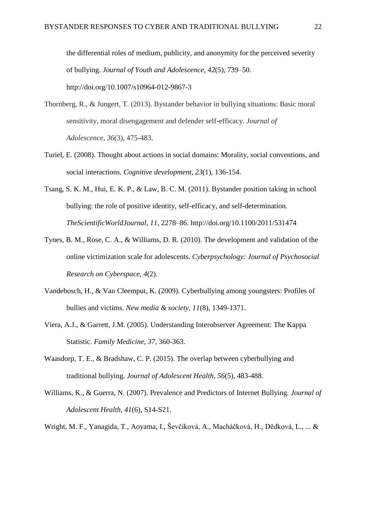the differential roles of medium, publicity, and anonymity for the perceived severity of bullying. *Journal of Youth and Adolescence*, *42*(5), 739–50. http://doi.org/10.1007/s10964-012-9867-3

- Thornberg, R., & Jungert, T. (2013). Bystander behavior in bullying situations: Basic moral sensitivity, moral disengagement and defender self-efficacy. *Journal of Adolescence*, *36*(3), 475-483.
- Turiel, E. (2008). Thought about actions in social domains: Morality, social conventions, and social interactions. *Cognitive development*, *23*(1), 136-154.
- Tsang, S. K. M., Hui, E. K. P., & Law, B. C. M. (2011). Bystander position taking in school bullying: the role of positive identity, self-efficacy, and self-determination. *TheScientificWorldJournal*, *11*, 2278–86. http://doi.org/10.1100/2011/531474
- Tynes, B. M., Rose, C. A., & Williams, D. R. (2010). The development and validation of the online victimization scale for adolescents. *Cyberpsychology: Journal of Psychosocial Research on Cyberspace*, *4*(2).
- Vandebosch, H., & Van Cleemput, K. (2009). Cyberbullying among youngsters: Profiles of bullies and victims. *New media & society*, *11*(8), 1349-1371.
- Viera, A.J., & Garrett, J.M. (2005). Understanding Interobserver Agreement: The Kappa Statistic. *Family Medicine, 37*, 360-363.
- Waasdorp, T. E., & Bradshaw, C. P. (2015). The overlap between cyberbullying and traditional bullying. *Journal of Adolescent Health*, *56*(5), 483-488.
- Williams, K., & Guerra, N. (2007). Prevalence and Predictors of Internet Bullying. *Journal of Adolescent Health, 41*(6), S14-S21.

Wright, M. F., Yanagida, T., Aoyama, I., Ševčíková, A., Macháčková, H., Dědková, L., ... &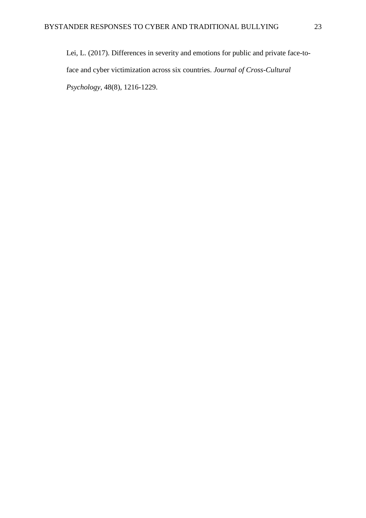Lei, L. (2017). Differences in severity and emotions for public and private face-toface and cyber victimization across six countries. *Journal of Cross-Cultural Psychology*, 48(8), 1216-1229.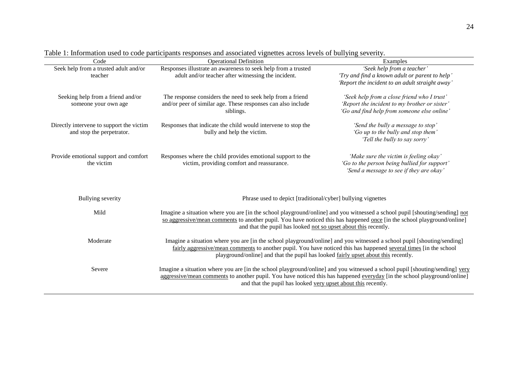| Examples                                                                                                                                                                                                |  |  |
|---------------------------------------------------------------------------------------------------------------------------------------------------------------------------------------------------------|--|--|
| Responses illustrate an awareness to seek help from a trusted<br>'Seek help from a teacher'                                                                                                             |  |  |
| adult and/or teacher after witnessing the incident.<br>'Try and find a known adult or parent to help'                                                                                                   |  |  |
| 'Report the incident to an adult straight away'                                                                                                                                                         |  |  |
| The response considers the need to seek help from a friend<br>'Seek help from a close friend who I trust'                                                                                               |  |  |
| and/or peer of similar age. These responses can also include<br>'Report the incident to my brother or sister'                                                                                           |  |  |
| 'Go and find help from someone else online'                                                                                                                                                             |  |  |
|                                                                                                                                                                                                         |  |  |
| Responses that indicate the child would intervene to stop the<br>'Send the bully a message to stop'                                                                                                     |  |  |
| 'Go up to the bully and stop them'                                                                                                                                                                      |  |  |
| 'Tell the bully to say sorry'                                                                                                                                                                           |  |  |
|                                                                                                                                                                                                         |  |  |
| Responses where the child provides emotional support to the<br>'Make sure the victim is feeling okay'                                                                                                   |  |  |
| 'Go to the person being bullied for support'<br>victim, providing comfort and reassurance.                                                                                                              |  |  |
| 'Send a message to see if they are okay'                                                                                                                                                                |  |  |
| Phrase used to depict [traditional/cyber] bullying vignettes                                                                                                                                            |  |  |
| Imagine a situation where you are [in the school playground/online] and you witnessed a school pupil [shouting/sending] not                                                                             |  |  |
| so aggressive/mean comments to another pupil. You have noticed this has happened once [in the school playground/online]                                                                                 |  |  |
| and that the pupil has looked not so upset about this recently.                                                                                                                                         |  |  |
|                                                                                                                                                                                                         |  |  |
| Imagine a situation where you are [in the school playground/online] and you witnessed a school pupil [shouting/sending]                                                                                 |  |  |
| fairly aggressive/mean comments to another pupil. You have noticed this has happened several times [in the school<br>playground/online] and that the pupil has looked fairly upset about this recently. |  |  |
|                                                                                                                                                                                                         |  |  |
| Imagine a situation where you are [in the school playground/online] and you witnessed a school pupil [shouting/sending] very<br>Severe                                                                  |  |  |
| aggressive/mean comments to another pupil. You have noticed this has happened everyday [in the school playground/online]                                                                                |  |  |
| and that the pupil has looked very upset about this recently.                                                                                                                                           |  |  |
|                                                                                                                                                                                                         |  |  |

Table 1: Information used to code participants responses and associated vignettes across levels of bullying severity.